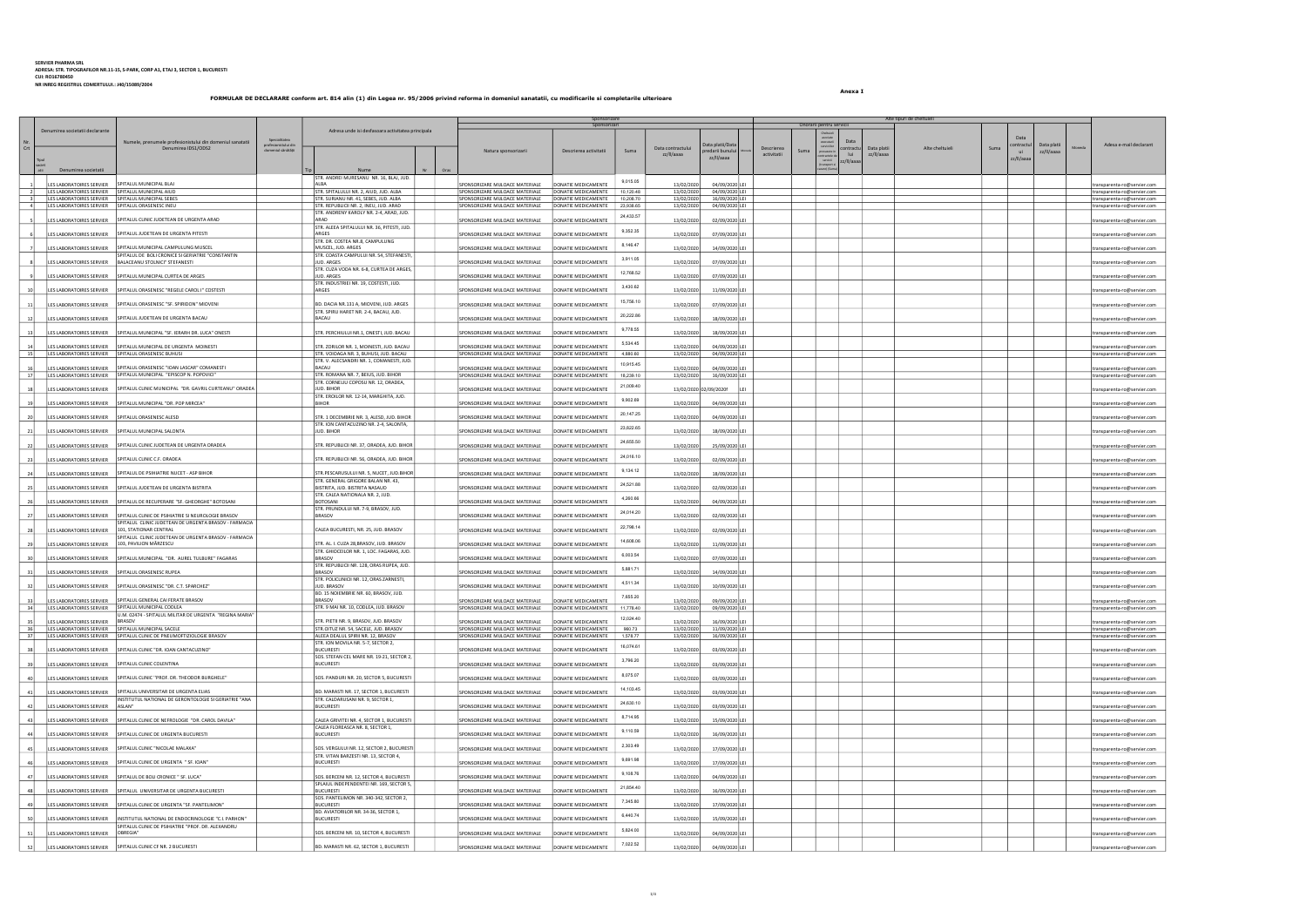Anexa I

Tipul societ atii Denumirea societatii **iskuutus kanaalisesti kanaalisesti kanaalisesti kanaalisesti kanaalisesti kanaalisesti kanaalisesti kanaalisesti kanaalisesti kanaalisesti kanaalisesti kanaalisesti kanaalisesti kanaalisesti kana** |<br>|LES LABORATOIRES SERVIER || SPITALUL MUNICIPAL BLAJ STR. ANDREI MURESANU NR. 16, BLAJ, JU ALBA SPITALULUI NR. 2, AIUD, JUD. ALBA SPONSORIZARE MILIOACE MATERIALE DONATIE MEDICAMENTE<br>1999 - STR. SPITALULUI NR. 2, AIUD, JUD. ALBA SPONSORIZARE MILIOACE MATERIALE DONATIE MEDICAMENTE 9,015.05 13/02/2020 04/09/2020 LEI transparenta-ro@servier.com 1. IESLABORATOIRES ERVIER SPITALUL MUNICIPALAIUD ALD INTRESS (INTERNATION INTRESS) INTRESS IN THE SPONSORIARE MULOACE MATERIALE DONATIE MEDICAMENTE 10,120.48 13/02/2020 04/09/2020.LEI INTRESS (INTRESS INTRESS INTRESS INT ILES LABORATOIRES SERVIER SPITALUL CLINIC JUDETEAN DE URGENTA ARAD STR. ANDRENY KAROLY NR. 2-4, ARAD, JUI PONSORIZARE MIJLOACE MATERIALE DONATIE MEDICAMENTE 24,433.57 13/02/2020 02/09/2020 LEI transparenta-ro@servier.com LES LABORATOIRES SERVIER SPITALUL JUDETEAN DE URGENTA PITESTI STR. ALEEA SPITALULUI NR. 36, PITESTI, JUD. ARGES SPONSORIZARE MILLOACE MATERIALE DONATIE MEDICAMENTE 9,352.35 13/02/2020 07/09/2020 LEI transparenta-ro@servier.com **LES LABORATOIRES SERVIER** SPITALUL MUNICIPAL CAMPULUNG MUSCEL STR. DR. COSTEA NR.8, CAMPULUNG **PONSORIZARE MIJLOACE MATERIALE DONATIE MEDICAMENTE** 8,146.47 13/02/2020 14/09/2020 LEI transparenta-ro@servier.com 8 | LES LABORATOIRES SERVIER | BALACEANU STOLNICI" STEFANESTI SPITALUL DE BOLI CRONICE SI GERIATRIE "CONSTANTI STR. COASTA CAMPULUI NR. 54, STEFANEST JUD. ARGES SPONSORIZARE MIJLOACE MATERIALE DONATIE MEDICAMENTE 3,911.05 13/02/2020 07/09/2020 LEI transparenta-ro@servier.com ES LABORATOIRES SERVIER SPITALUL MUNICIPAL CURTEA DE ARGES STR. CUZA VODA NR. 6-8, CURTEA DE ARGES DNSORIZARE MIJLOACE MATERIALE DONATIE MEDICAMENTE 12,768.52 13/02/2020 07/09/2020 LEI transparenta-ro@servier.com LES LABORATOIRES SERVIER SPITALUL ORASENESC "REGELE CAROL I" COSTESTI STR. INDUSTRIEI NR. 19, COSTESTI, JUD. ARGES SPONSORIZARE MIJLOACE MATERIALE DONATIE MEDICAMENTE 3,430.62 13/02/2020 11/09/2020 LEI transparenta-ro@servier.com 11 LES LABORATOIRES SERVIER SPITALUL ORASENESC "SF. SPIRIDON" MIOVENI BD. DACIA NR.131 A, MIOVENI, JUD. ARGES SPONSORIZARE MILOACE MATERIALE DONATIE MEDICAMENTE 15,756.10 13/02/2020 07/09/2020 LEI transparenta-ro@servier.com 12 LES LABORATOIRES SERVIER SPITALUL JUDETEAN DE URGENTA BACAU STR. SPIRU HARET NR. 2-4, BACAU, JUD. **PONSORIZARE MIJLOACE MATERIALE** DONATIE MEDICAMENTE 20,222.86 13/02/2020 18/09/2020 LEI transparenta-ro@servier.com LES LABORATOIRES SERVIER SPITALUL MUNICIPAL "SF. IERARH DR. LUCA" ONESTI STR. PERCHIULUI NR.1, ONESTI, JUD. BACAU SPONSORIZARE MIJLOACE MATERIALE DONATIE MEDICAMENTE 9,778.55 13/02/2020 18/09/2020 LEI transparenta-ro@servier.com 14 LES LABORATOIRES SERVIER SPITALUL MUNICIPAL DE URGENTA MOINESTI STR. ZORILOR NR. 1, MOINESTI, JUD. BACAU SPONSORIZARE MIJLOACE MATERIALE DONATIE MEDICAMENTE<br>15 LES LABORATOIRES SERVIER SPITALUL ORASENESC BUHUSI SUR LES 5,534.45 13/02/2020 04/09/2020 LEI transparenta-ro@servier.com SPONSORIZARE MIJLOACE MATERIALE DONATIE MEDICAMENTE 4,880.60 13/02/2020 13/02/2020 04/09/2020 LEI IFS LABORATOIRES SERVIER SPITALUL ORASENESC "IOAN LASCAR" COMANESTI STR. V. ALECSANDRI NR. 1, COMANESTI, JUD. BACAU SPONSORIZARE MIJLOACE MATERIALE DONATIE MEDICAMENTE STR. ROMANA NR. 7, BEIUS, JUD. BIHOR NATUR SPONSORIZARE MIJLOACE MATERIALE DONATIE MEDICAMENTE 10,915.45 13/02/2020 04/09/2020 LEI transparenta-ro@servier.com 17 LES LABORATOIRES SERVIER SPITALUL MUNICIPAL "EPISCOP N. POPOVICI" STR. ROMANA NR. 7, BEIUS, JUD. BIHOR SPONSORIZARE MIJLOACE MATERIALE DONATIE MEDICAMENTE 18,239.10 13/02/2020 16/09/2020 16/09/2020 LEI transparentale in LES LABORATOIRES SERVIER SPITALUL CLINIC MUNICIPAL "DR. GAVRIL CURTEANU" ORADE STR. CORNELIU COPOSU NR. 12, ORADEA, ONSORIZARE MIJLOACE MATERIALE | DONATIE MEDICAMENTE 21,009.40 13/02/2020 02/09/2020f LEI transparenta-ro@servier.com LEI transparenta-ro@servier.com LEI transparenta-ro@servier.com LES LABORATOIRES SERVIER SPITALUL MUNICIPAL "DR. POP MIRCEA" STR. EROLLOR NR. 12-14, MARGHITA, JUD. ONSORIZARE MIJLOACE MATERIALE | DONATIE MEDICAMENTE 9,902.69 13/02/2020 04/09/2020 LEI transparenta-ro@servier.com IFS LABORATOIRES SERVIER SPITALUL ORASENESC ALESD STR. STR. 1 DECEMBRIE NR. 3, ALESD, JUD. BIHOR SPONSORIZARE MIJILOACE MATERIALE DONATIE MEDICAMENTE 20,147.25 13/02/2020 04/09/2020 LEI transparenta-ro@servier.com LES LABORATOIRES SERVIER SPITALUL MUNICIPAL SALONTA STR. ION CANTACUZINO NR. 2-4, SALONTA, JUD. BIHOR SPONSORIZARE MIJLOACE MATERIALE DONATIE MEDICAMENTE 23,822.65 13/02/2020 18/09/2020 LEI transparenta-ro@servier.com LES LABORATOIRES SERVIER SPITALUL CLINIC JUDETEAN DE URGENTA ORADEA STRANGER STRANGER SPONSORIZARE SPONSORIZARE MILOACE MATERIALE DONATIE MEDICAMENTE 24,655.50 13/02/2020 25/09/2020 LEI transparenta-ro@servier.com 23 LES LABORATOIRES SERVIER SPITALUL CLINIC C.F. ORADEA STR. SPONSORIZARE SPONSORIZARE MIJLOACE MATERIALE DONATIE MEDICAMENTE 24,016.10 13/02/2020 02/09/2020 LEI transparenta-ro@servier.com ES LABORATOIRES SERVIER SPITALUL DE PSIHIATRIE NUCET - ASP BIHOR STR.PESCARUSULUI NR. 5, NUCET, JUD.BIHOR SPONSORIZARE MIJLOACE MATERIALE DONATIE MEDICAMENTE 9,134.12 13/02/2020 18/09/2020 LEI transparenta-ro@servier.com LES LABORATOIRES SERVIER SPITALUL JUDETEAN DE URGENTA BISTRITA STR. GENERAL GRIGORE BALAN NR. 43,<br>BISTRITA, JUD. BISTRITA NASAUD **PONSORIZARE MIJLOACE MATERIALE** DONATIE MEDICAMENTE 24,521.88 13/02/2020 02/09/2020 LEI transparenta-ro@servier.com LES LABORATOIRES SERVIER SPITALUL DE RECUPERARE "SF. GHEORGHE" BOTOSANI STR. CALEA NATIONALA NR. 2, JUD. ONSORIZARE MIJLOACE MATERIALE | DONATIE MEDICAMENTE 4,260.66 13/02/2020 04/09/2020 LEI transparenta-ro@servier.com 27 LES LABORATOIRES SERVIER SPITALUL CLINIC DE PSIHIATRIE SI NEUROLOGIE BRASOV SPITALUL CLINIC JUDETEAN DE URGENTA BRASOV - FARMACIA 101, STATIONAR CENTRAL CALEA BUCURESTI, NR. 25, JUD. BRASOV SPONSORIZARE MIJLOACE MATERIALE DONATIE MEDICAMENTE STR. PRUNDULUI NR. 7-9, BRASOV, JUD.<br>BRASOV BRASORIZARE MIJLOACE MATERIALE DONATIE MEDICAMENTE 24,014.20 13/02/2020 02/09/2020 LEI transparenta-ro@servier.com LES LABORATOIRES SERVIER 22,798.14 13/02/2020 02/09/2020 LEI transparenta-ro@servier.com **LES LABORATOIRES SERVIER** SPITALUL CLINIC JUDETEAN DE URGENTA BRASOV - FARMACIA<br>SPITALUL CLINIC JUDETEAN DE URGENTA BRASOV - FARMACIA<br>103, PAVILION MÂRZESCU STR. AL. I. CUZA 28,BRASOV, JUD. BRASOV STR. AL. I. CUZA 28,BRASOV, JUD. BRASOV SPONSORIZARE MIJLOACE MATERIALE DONATIE MEDICAMENTE 14,608.06 13/02/2020 11/09/2020 LEI in the service of the service of the service of the service of transparenta-ro@servier.com LES LABORATOIRES SERVIER SPITALUL MUNICIPAL "DR. AUREL TULBURE" FAGARAS STR. GHIOCEILOR NR. 1, LOC. FAGARAS, JUD. PONSORIZARE MIJLOACE MATERIALE | DONATIE MEDICAMENTE 6,003.54 13/02/2020 07/09/2020 LEI transparenta-ro@servier.com LES LABORATOIRES SERVIER SPITALUL ORASENESC RUPEA STR. REPUBLICII NR. 128, ORAS RUPEA, JUD. DRSORIZARE MIJLOACE MATERIALE |<br>DONATIE MEDICAMENTI 5,881.71 13/02/2020 14/09/2020 LEI transparenta-ro@servier.com 32 LES LABORATOIRES SERVIER SPITALUL ORASENESC "DR. C.T. SPARCHEZ" STR. POLICLINICII NR. 12, ORAS ZARNESTI, **PONSORIZARE MIJLOACE MATERIALE DONATIE MEDICAMENTE** 4,511.34 13/02/2020 10/09/2020 LEI transparenta-ro@servier.com 33 LES LABORATOIRES SERVIER SPITALUL GENERAL CAI FERATE BRASOV<br>34 LES LABORATOIRES SERVIER SPITALUL MUNICIPAL CODLEA BD. 15 NOIEMBRIE NR. 60, BRASOV, JUD. BRASOV SPONSORIZARE MIJLOACE MATERIALE DONATIE MEDICAMENTE SPONSORIZARE MIJLOACE MATERIALE DONATIE MEDICAMENTE 7,655.20 13/02/2020 09/09/2020 LEI transparenta-ro@servier.com LES LABORATOIRES SERVIER SPITALUL MUNICIPAL CODLEA STR. 9 MAI NR. 10, CODLEA, JUD. BRASOV SPONSORIZARE MIJLOACE MATERIALE DONATIE MEDICAMENTE 11,778.40 13/02/2020 09/09/2020 15/10  $\vert$ <sub>LES</sub> LABORATOIRES SERVIER U.M. 02474 - SPITALUL MILITAR DE URGENTA "REGINA MARIA" BRASOV STR. PIETII NR. 9, BRASOV, JUD. BRASOV SPONSORIZARE MIJLOACE MATERIALE DONATIE MEDICAMENTE 12,024.40 13/02/2020 16/09/2020 LEI transparenta-ro@servier.com 36 LES LABORATOIRES SERVIER SPITALUL MUNICIPAL SACELE SERVIER STR. DUIT ON THE STR. OITUZ NR. 54, SACELE, JUD. BRASOV STR. OITUZ NR. 54, SACELE, JUD. BRASOV SPONSORIZARE MULOACE MATERIALE DONATIE MEDICAMENTE 960.73 13/02/2 LES LABORATOIRES SERVIER SPITALUL CLINIC "DR. IOAN CANTACUZINO" STR. ION MOVILA NR. 5-7, SECTOR 2,<br>BUCURESTI **PONSORIZARE MIJLOACE MATERIALE** DONATIE MEDICAMENTE 16,074.61 13/02/2020 03/09/2020 LEI transparenta-ro@servier.com LES LABORATOIRES SERVIER SPITALUL CLINIC COLENTINA SOS. STEFAN CEL MARE NR. 19-21, SECTOR 2<br>BUCURESTI **PONSORIZARE MIJLOACE MATERIALE** DONATIE MEDICAMENTE 3,796.20 13/02/2020 03/09/2020 LEI transparenta-ro@servier.com LES LABORATOIRES SERVIER SPITALUL CLINIC "PROF. DR. THEODOR BURGHELE" SANDARI SOS. PANDURI NR. 20, SECTOR 5, BUCURESTI SPONSORIZARE MIJLOACE MATERIALE DONATIE MEDICAMENTE 8,075.07 13/02/2020 03/09/2020 LEI transparenta-ro@servier.com LES LABORATOIRES SERVIER SPITALUL UNIVERSITAR DE URGENTA ELIAS BD. BD. MARASTI NR. 17, SECTOR 1, BUCURESTI SPONSORIZARE MILOACE MATERIALE DONATIE MEDICAMENTE 14,103.45 13/02/2020 03/09/2020 LEI transparenta-ro@servier.com 42 LES LABORATOIRES SERVIER ASLAN" INSTITUTUL NATIONAL DE GERONTOLOGIE SI GERIATRIE "ANA STR. CALDARUSANI NR. 9, SECTOR 1,<br>BUCURESTI BONSORIZARE MIJLOACE MATERIALE DONATIE MEDICAMENTE 24,630.10 13/02/2020 03/09/2020 EI transparenta-ro@servier.com is a comparable comparable comparable comparable comparable comparable comparable comparable comparable comparable comparable comparable comparable comparable LES LABORATOIRES SERVIER SPITALUL CLINIC DE NEFROLOGIE "DR. CAROL DAVILA" | CALEA GRIVITEI NR. 4, SECTOR 1, BUCURESTI | SPONSORIZARE MIJLOACE MATERIALE | DONATIE MEDICAMENTE 8,714.95 13/02/2020 15/09/2020 LEI transparenta-ro@servier.com LES LABORATOIRES SERVIER SPITALUL CLINIC DE URGENTA BUCURESTI CALEA FLOREASCA NR. 8, SECTOR 1, ONSORIZARE MIJLOACE MATERIALE DONATIE MEDICAMENTE 9,110.59 13/02/2020 16/09/2020 LEI transparenta-ro@servier.com 45 LES LABORATOIRES SERVIER SPITALUL CLINIC "NICOLAE MALAXA" SOS. VERGULUI NR. 12, SECTOR 2, BUCURESTI SPONSORIZARE MILOACE MATERIALE DONATIE MEDICAMENTE 2,303.49 13/02/2020 17/09/2020 LEI transparenta-ro@servier.com LES LABORATOIRES SERVIER SPITALUL CLINIC DE URGENTA " SF. IOAN" STR. VITAN BARZESTI NR. 13, SECTOR 4, NSORIZARE MIJLOACE MATERIALE | DONATIE MEDICAMENTI 9,691.98 13/02/2020 17/09/2020 LEI transparenta-ro@servier.com |<br>| LES LABORATOIRES SERVIER SPITALUL DE BOLI CRONICE " SF. LUCA" SOS SERVIER SON SERCENI NR. 12, SECTOR 4, BUCURESTI SPONSORIZARE MILOACE MATERIALE DONATIE MEDICAMENTE 9,108.76 13/02/2020 04/09/2020 LEI transparenta-ro@servier.com LES LABORATOIRES SERVIER SPITALUL UNIVERSITAR DE URGENTA BUCURESTI SPLAIUL INDEPENDENTEI NR. 169, SECTOR 5 **ISORIZARE MIJLOACE MATERIALE** DONATIE MEDICAMENTE 21,854.40 13/02/2020 16/09/2020 LEI transparenta-ro@servier.com ILES LABORATOIRES SERVIER SPITALUL CLINIC DE URGENTA "SF. PANTELIMON" SOS. PANTELIMON NR. 340-342, SECTOR 2, BUCURESTI SPONSORIZARE MIJLOACE MATERIALE DONATIE MEDICAMENTE BD. AVIATORILOR NR. 34-36, SECTOR 1, BUCURESTI SPONSORIZARE MIJLOACE MATERIALE DONATIE MEDICAMENTE 7,345.80 13/02/2020 17/09/2020 LEI transparenta-ro@servier.com LES LABORATOIRES SERVIER |INSTITUTUL NATIONAL DE ENDOCRINOLOGIE "C.I. PARHON" 6,440.74 13/02/2020 15/09/2020 LEI transparenta-ro@servier.com ES LABORATOIRES SERVIER OBREGIA" SPITALUL CLINIC DE PSIHIATRIE "PROF. DR. ALEXANDRU OBREGIA" SOS. BERCENI NR. 10, SECTOR 4, BUCURESTI SPONSORIZARE MIJLOACE MATERIALE DONATIE MEDICAMENTE 5,824.00 13/02/2020 04/09/2020 LEI transparenta-ro@servier.com S2 LES LABORATOIRES SERVIER SPITALUL CLINIC CF NR. 2 BUCURESTI SPONSORIZARE DONATIE MEDICAMENTE DONATIE MEDICAMENTE 7,022.52 13/02/2020 04/09/2020 LEI transparenta-ro@servier.com Moneda Descrierea activitatii Suma Cheltuieli asociate executarii serviciilor prevazute in contractele de servicii (transport si cazare) (Suma) Data contractu lui zz/ll/aaaa Data platii zz/ll/aaaa Alte tipuri de cheltuieli Sponsorizari Onorarii pentru servicii Alte cheltuieli **Suma** Natura sponsorizarii ama bescrierea activitatii Suma Data contractului predariibunului Nomes animes Suma premamente Data animes Contractului Data animes Contractului animes Contractului animes animes animes animes animes a Sponsorizare Descrierea activitatii suma Data contractului zz/ll/aaaa Data platii/Data predarii bunului zz/ll/aaaa Nr. Crt Denumirea societatii declarante Numele, prenumele profesionistului din domeniul sanatatii Denumirea IDS1/ODS2 Specialitatea profesionistului din domeniul sănătății Adresa unde isi desfasoara activitatea principala

## SERVIER PHARMA SRL ADRESA: STR. TIPOGRAFILOR NR.11-15, S-PARK, CORP A1, ETAJ 3, SECTOR 1, BUCURESTI CUI: RO16780450

NR INREG REGISTRUL COMERTULUI.: J40/15089/2004

FORMULAR DE DECLARARE conform art. 814 alin (1) din Legea nr. 95/2006 privind reforma in domeniul sanatatii, cu modificarile si completarile ulterioare

| Suma | Data<br>contractul<br>ui<br>zz/II/aaaa | Data platii<br>zz/II/aaaa | Moneda | Adesa e-mail declarant                                     |
|------|----------------------------------------|---------------------------|--------|------------------------------------------------------------|
|      |                                        |                           |        |                                                            |
|      |                                        |                           |        | transparenta-ro@servier.com<br>transparenta-ro@servier.com |
|      |                                        |                           |        | transparenta-ro@servier.com                                |
|      |                                        |                           |        | transparenta-ro@servier.com                                |
|      |                                        |                           |        | transparenta-ro@servier.com                                |
|      |                                        |                           |        | transparenta-ro@servier.com                                |
|      |                                        |                           |        | transparenta-ro@servier.com                                |
|      |                                        |                           |        | transparenta-ro@servier.com                                |
|      |                                        |                           |        | transparenta-ro@servier.com                                |
|      |                                        |                           |        | transparenta-ro@servier.com                                |
|      |                                        |                           |        | transparenta-ro@servier.com                                |
|      |                                        |                           |        |                                                            |
|      |                                        |                           |        | transparenta-ro@servier.com                                |
|      |                                        |                           |        | transparenta-ro@servier.com                                |
|      |                                        |                           |        | transparenta-ro@servier.com                                |
|      |                                        |                           |        | transparenta-ro@servier.com                                |
|      |                                        |                           |        | transparenta-ro@servier.com<br>transparenta-ro@servier.com |
|      |                                        |                           |        | transparenta-ro@servier.com                                |
|      |                                        |                           |        | transparenta-ro@servier.com                                |
|      |                                        |                           |        | transparenta-ro@servier.com                                |
|      |                                        |                           |        | transparenta-ro@servier.com                                |
|      |                                        |                           |        | transparenta-ro@servier.com                                |
|      |                                        |                           |        | transparenta-ro@servier.com                                |
|      |                                        |                           |        | transparenta-ro@servier.com                                |
|      |                                        |                           |        | transparenta-ro@servier.com                                |
|      |                                        |                           |        |                                                            |
|      |                                        |                           |        | transparenta-ro@servier.com<br>transparenta-ro@servier.com |
|      |                                        |                           |        | transparenta-ro@servier.com                                |
|      |                                        |                           |        | transparenta-ro@servier.com                                |
|      |                                        |                           |        | transparenta-ro@servier.com                                |
|      |                                        |                           |        | transparenta-ro@servier.com                                |
|      |                                        |                           |        | transparenta-ro@servier.com                                |
|      |                                        |                           |        | transparenta-ro@servier.com                                |
|      |                                        |                           |        | transparenta-ro@servier                                    |
|      |                                        |                           |        | transparenta-ro@servier.com                                |
|      |                                        |                           |        | transparenta-ro@servier.com<br>transparenta-ro@servier.com |
|      |                                        |                           |        | transparenta-ro@servier.com                                |
|      |                                        |                           |        | transparenta-ro@servier.com                                |
|      |                                        |                           |        | transparenta-ro@servier.com                                |
|      |                                        |                           |        | transparenta-ro@servier.com                                |
|      |                                        |                           |        | transparenta-ro@servier.com                                |
|      |                                        |                           |        | transparenta-ro@servier.com                                |
|      |                                        |                           |        | transparenta-ro@servier.com                                |
|      |                                        |                           |        | transparenta-ro@servier.com                                |
|      |                                        |                           |        | transparenta-ro@servier.com                                |
|      |                                        |                           |        | transparenta-ro@servier.com                                |
|      |                                        |                           |        | transparenta-ro@servier.com                                |
|      |                                        |                           |        | transparenta-ro@servier.com                                |
|      |                                        |                           |        | transparenta-ro@servier.com                                |
|      |                                        |                           |        | transparenta-ro@servier.com                                |
|      |                                        |                           |        |                                                            |
|      |                                        |                           |        | transparenta-ro@servier.com                                |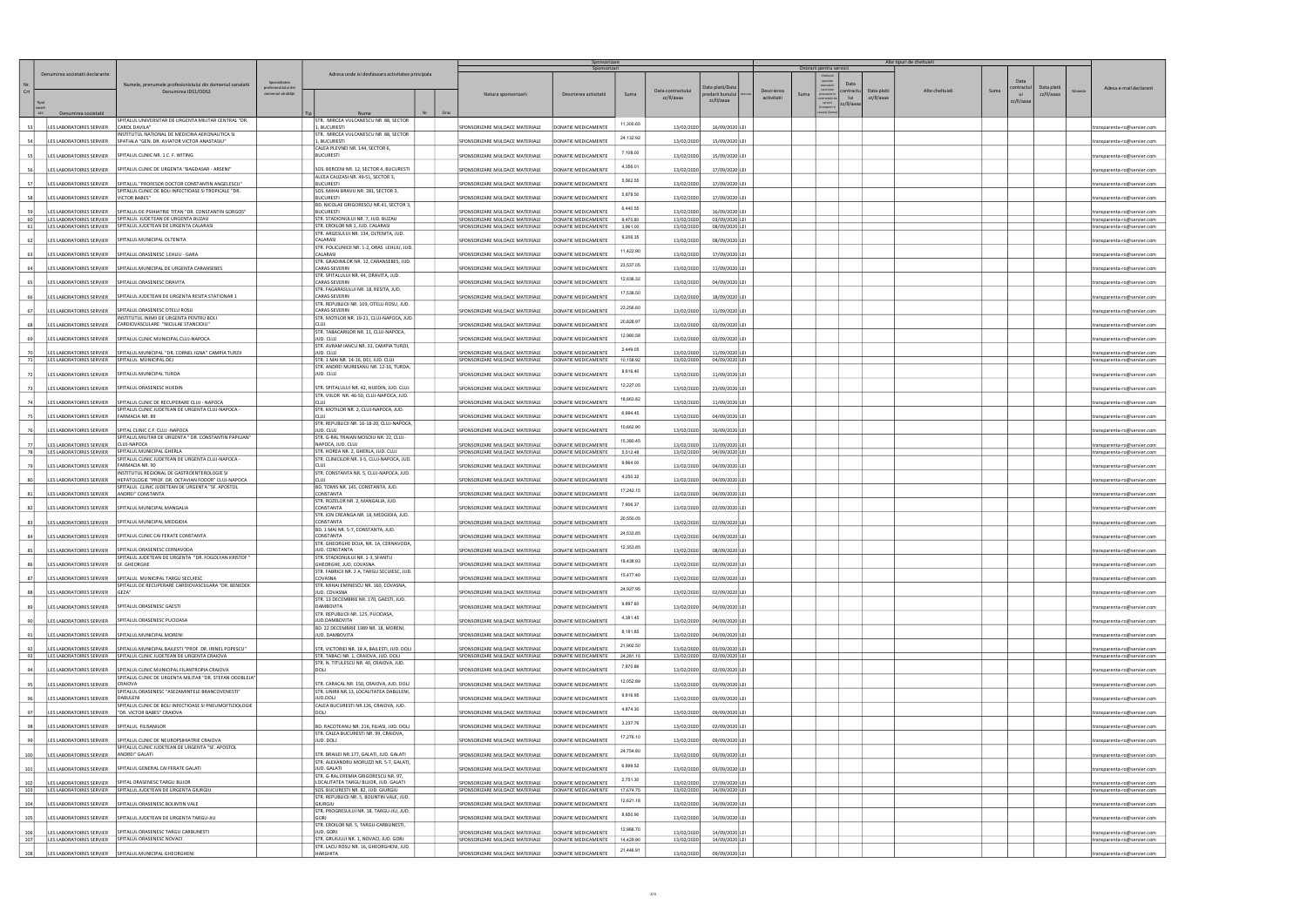|                  |                                                                             |                                                                                                                                |                                                             |                                                                                       |            | Sponsorizare<br>Sponsorizari                                       |                                            |                        |                          | Onorarii pentru servicii         |                                                    | Alte tipuri de cheltuieli       |                 |                           |            |                                                            |
|------------------|-----------------------------------------------------------------------------|--------------------------------------------------------------------------------------------------------------------------------|-------------------------------------------------------------|---------------------------------------------------------------------------------------|------------|--------------------------------------------------------------------|--------------------------------------------|------------------------|--------------------------|----------------------------------|----------------------------------------------------|---------------------------------|-----------------|---------------------------|------------|------------------------------------------------------------|
| Crt              | Denumirea societatii declarante                                             | Numele, prenumele profesionistului din domeniul sanatatii<br>Denumirea IDS1/ODS2                                               | Specialitatea<br>profesionistului dir<br>domeniul sănătății | Adresa unde isi desfasoara activitatea principala                                     |            |                                                                    |                                            |                        | Data contractulu         | Data platii/Data                 | executa<br>serviciilo<br><b>Descrierea</b><br>Suma | Data<br>ontractu<br>Data platii | Alte cheltuieli | Data<br>contractu<br>Suma | Data plati | Adesa e-mail declarant                                     |
|                  |                                                                             |                                                                                                                                |                                                             |                                                                                       |            | Natura sponsorizarii                                               | Descrierea activitatii                     | Suma                   | zz/II/aaaa               | predarii bunului<br>zz/II/aaaa   | orevazute ir<br>activitatii<br>servicii            | lui<br>zz/II/aaaa<br>z/II/aaaa  |                 | ui<br>zz/II/aaaa          | zz/II/aaaa |                                                            |
|                  | Denumirea societatii                                                        | SPITALUL UNIVERSITAR DE URGENTA MILITAR CENTRAL "DR.                                                                           |                                                             | Nume<br>STR. MIRCEA VULCANESCU NR. 88, SECTOR                                         | Oras<br>Nr |                                                                    |                                            |                        |                          |                                  |                                                    |                                 |                 |                           |            |                                                            |
| -531             | LES LABORATOIRES SERVIER                                                    | CAROL DAVILA"                                                                                                                  |                                                             | 1, BUCURESTI                                                                          |            | SPONSORIZARE MIJLOACE MATERIALE                                    | DONATIE MEDICAMENTE                        | 11,300.65              | 13/02/2020               | 16/09/2020 LEI                   |                                                    |                                 |                 |                           |            | transparenta-ro@servier.com                                |
|                  | ES LABORATOIRES SERVIER                                                     | INSTITUTUL NATIONAL DE MEDICINA AERONAUTICA SI<br>SPATIALA "GEN. DR. AVIATOR VICTOR ANASTASIU"                                 |                                                             | STR. MIRCEA VULCANESCU NR. 88, SECTOR<br>1, BUCURESTI                                 |            | SPONSORIZARE MIJLOACE MATERIALE                                    | DONATIE MEDICAMENTE                        | 24,132.92              | 13/02/2020               | 15/09/2020 LEI                   |                                                    |                                 |                 |                           |            | :ransparenta-ro@servier.com                                |
|                  | LES LABORATOIRES SERVIER                                                    | SPITALUL CLINIC NR. 1 C. F. WITING                                                                                             |                                                             | CALEA PLEVNEI NR. 144, SECTOR 6,<br><b>BUCURESTI</b>                                  |            | SPONSORIZARE MIJLOACE MATERIALE                                    | DONATIE MEDICAMENTE                        | 7,108.00               | 13/02/2020               | 15/09/2020 LEI                   |                                                    |                                 |                 |                           |            | ansparenta-ro@servier.com                                  |
|                  | LES LABORATOIRES SERVIER                                                    | SPITALUL CLINIC DE URGENTA "BAGDASAR - ARSENI"                                                                                 |                                                             | SOS. BERCENI NR. 12, SECTOR 4, BUCURESTI                                              |            | SPONSORIZARE MIJLOACE MATERIALE                                    | DONATIE MEDICAMENTE                        | 4,356.01               | 13/02/2020               | 17/09/2020 LEI                   |                                                    |                                 |                 |                           |            | transparenta-ro@servier.com                                |
| -57              | LES LABORATOIRES SERVIER                                                    | SPITALUL "PROFESOR DOCTOR CONSTANTIN ANGELESCU"                                                                                |                                                             | ALEEA CAUZASI NR. 49-51, SECTOR 3,<br><b>BUCURESTI</b>                                |            | SPONSORIZARE MIJLOACE MATERIALE                                    | DONATIE MEDICAMENTE                        | 5,562.55               | 13/02/2020               | 17/09/2020 LEI                   |                                                    |                                 |                 |                           |            | :ransparenta-ro@servier.com                                |
| 58               | LES LABORATOIRES SERVIER                                                    | SPITALUL CLINIC DE BOLI INFECTIOASE SI TROPICALE "DR.<br>VICTOR BABES"                                                         |                                                             | SOS. MIHAI BRAVU NR. 281, SECTOR 3,<br><b>BUCURESTI</b>                               |            | SPONSORIZARE MIJLOACE MATERIALE                                    | DONATIE MEDICAMENTE                        | 5,878.50               | 13/02/2020               | 17/09/2020 LEI                   |                                                    |                                 |                 |                           |            | transparenta-ro@servier.com                                |
|                  | ES LABORATOIRES SERVIER                                                     | SPITALUL DE PSIHIATRIE TITAN "DR. CONSTANTIN GORGOS"                                                                           |                                                             | BD. NICOLAE GRIGORESCU NR.41, SECTOR 3,<br><b>BUCURESTI</b>                           |            | SPONSORIZARE MIJLOACE MATERIALE                                    | DONATIE MEDICAMENTE                        | 6,440.55               | 13/02/2020               | 16/09/2020 LEI                   |                                                    |                                 |                 |                           |            | :ransparenta-ro@servier.com                                |
| 60<br>61         | LES LABORATOIRES SERVIER                                                    | SPITALUL JUDETEAN DE URGENTA BUZAU<br>LES LABORATOIRES SERVIER   SPITALUL JUDETEAN DE URGENTA CALARASI                         |                                                             | STR. STADIONULUI NR. 7, JUD. BUZAU<br>STR. EROILOR NR 1, JUD. CALARASI                |            | SPONSORIZARE MIJLOACE MATERIALE<br>SPONSORIZARE MIJLOACE MATERIALE | DONATIE MEDICAMENTE<br>DONATIE MEDICAMENTE | 9,470.80<br>3,961.00   | 13/02/2020               | 03/09/2020 LEI                   |                                                    |                                 |                 |                           |            | transparenta-ro@servier.com                                |
|                  |                                                                             | LES LABORATOIRES SERVIER   SPITALUL MUNICIPAL OLTENITA                                                                         |                                                             | STR. ARGESULUI NR. 134, OLTENITA, JUD.<br>CALARASI                                    |            | SPONSORIZARE MIJLOACE MATERIALE                                    | DONATIE MEDICAMENTE                        | 9,206.35               | 13/02/2020<br>13/02/2020 | 08/09/2020 LEI<br>08/09/2020 LEI |                                                    |                                 |                 |                           |            | transparenta-ro@servier.com<br>transparenta-ro@servier.com |
|                  | LES LABORATOIRES SERVIER                                                    | SPITALUL ORASENESC LEHLIU - GARA                                                                                               |                                                             | STR. POLICLINICII NR. 1-2, ORAS LEHLIU, JUD.<br>CALARASI                              |            | SPONSORIZARE MIJLOACE MATERIALE                                    | DONATIE MEDICAMENTE                        | 11,422.90              | 13/02/2020               | 17/09/2020 LEI                   |                                                    |                                 |                 |                           |            |                                                            |
|                  |                                                                             | LES LABORATOIRES SERVIER   SPITALUL MUNICIPAL DE URGENTA CARANSEBES                                                            |                                                             | STR. GRADINILOR NR. 12, CARANSEBES, JUD.<br>CARAS-SEVERIN                             |            | SPONSORIZARE MIJLOACE MATERIALE                                    | DONATIE MEDICAMENTE                        | 23,537.05              |                          |                                  |                                                    |                                 |                 |                           |            | ansparenta-ro@servier.com                                  |
|                  |                                                                             |                                                                                                                                |                                                             | STR. SPITALULUI NR. 44, ORAVITA, JUD.                                                 |            |                                                                    |                                            | 12,836.32              | 13/02/2020               | 11/09/2020 LEI                   |                                                    |                                 |                 |                           |            | transparenta-ro@servier.com                                |
|                  |                                                                             | LES LABORATOIRES SERVIER   SPITALUL ORASENESC ORAVITA                                                                          |                                                             | CARAS-SEVERIN<br>STR. FAGARASULUI NR. 18, RESITA, JUD.                                |            | SPONSORIZARE MIJLOACE MATERIALE                                    | DONATIE MEDICAMENTE                        | 17,538.50              | 13/02/2020               | 04/09/2020 LEI                   |                                                    |                                 |                 |                           |            | :ransparenta-ro@servier.com                                |
|                  | LES LABORATOIRES SERVIER                                                    | SPITALUL JUDETEAN DE URGENTA RESITA STATIONAR 1                                                                                |                                                             | CARAS-SEVERIN<br>STR. REPUBLICII NR. 109, OTELU ROSU, JUD.                            |            | SPONSORIZARE MIJLOACE MATERIALE                                    | DONATIE MEDICAMENTE                        | 23,256.60              | 13/02/2020               | 18/09/2020 LEI                   |                                                    |                                 |                 |                           |            | transparenta-ro@servier.com                                |
|                  | LES LABORATOIRES SERVIER                                                    | SPITALUL ORASENESC OTELU ROSU<br>INSTITUTUL INIMII DE URGENTA PENTRU BOLI                                                      |                                                             | CARAS-SEVERIN<br>STR. MOTILOR NR. 19-21, CLUJ-NAPOCA, JUD.                            |            | SPONSORIZARE MIJLOACE MATERIALE                                    | DONATIE MEDICAMENTE                        | 20,828.97              | 13/02/2020               | 11/09/2020 LEI                   |                                                    |                                 |                 |                           |            | ransparenta-ro@servier.com                                 |
|                  | LES LABORATOIRES SERVIER                                                    | CARDIOVASCULARE "NICULAE STANCIOIU"                                                                                            |                                                             | STR. TABACARILOR NR. 11, CLUJ-NAPOCA,                                                 |            | SPONSORIZARE MIJLOACE MATERIALE                                    | DONATIE MEDICAMENTE                        |                        | 13/02/2020               | 02/09/2020 LEI                   |                                                    |                                 |                 |                           |            | ransparenta-ro@servier.com                                 |
|                  |                                                                             | LES LABORATOIRES SERVIER   SPITALUL CLINIC MUNICIPAL CLUJ-NAPOCA                                                               |                                                             | JUD. CLUJ<br>STR. AVRAM IANCU NR. 33, CAMPIA TURZII,                                  |            | SPONSORIZARE MIJLOACE MATERIALE                                    | DONATIE MEDICAMENTE                        | 12,980.58              | 13/02/2020               | 02/09/2020 LEI                   |                                                    |                                 |                 |                           |            | :ransparenta-ro@servier.com                                |
| 70 I<br>71       | LES LABORATOIRES SERVIER<br>LES LABORATOIRES SERVIER SPITALUL MUNICIPAL DEJ | SPITALUL MUNICIPAL "DR. CORNEL IGNA" CAMPIA TURZII                                                                             |                                                             | JUD. CLUJ<br>STR. 1 MAI NR. 14-16, DEJ, JUD. CLUJ                                     |            | SPONSORIZARE MIJLOACE MATERIALE<br>SPONSORIZARE MIJLOACE MATERIALE | DONATIE MEDICAMENTE<br>DONATIE MEDICAMENTE | 2,449.05<br>10,158.92  | 13/02/2020<br>13/02/2020 | 11/09/2020 LEI<br>04/09/2020 LEI |                                                    |                                 |                 |                           |            | ransparenta-ro@servier.com<br>ransparenta-ro@servier.com   |
|                  | LES LABORATOIRES SERVIER   SPITALUL MUNICIPAL TURDA                         |                                                                                                                                |                                                             | STR. ANDREI MURESANU NR. 12-16, TURDA,<br>JUD. CLUJ                                   |            | SPONSORIZARE MIJLOACE MATERIALE                                    | DONATIE MEDICAMENTE                        | 8,616.40               |                          |                                  |                                                    |                                 |                 |                           |            |                                                            |
| 72               |                                                                             |                                                                                                                                |                                                             | STR. SPITALULUI NR. 42, HUEDIN, JUD. CLUJ                                             |            |                                                                    | DONATIE MEDICAMENTE                        | 12,227.05              | 13/02/2020               | 11/09/2020 LEI                   |                                                    |                                 |                 |                           |            | transparenta-ro@servier.com                                |
| 73<br>74         |                                                                             | LES LABORATOIRES SERVIER   SPITALUL ORASENESC HUEDIN<br>SPITALUL CLINIC DE RECUPERARE CLUJ - NAPOCA                            |                                                             | STR. VIILOR NR. 46-50, CLUJ-NAPOCA, JUD.<br>la ur                                     |            | SPONSORIZARE MIJLOACE MATERIALE                                    |                                            | 18,863.82              | 13/02/2020               | 23/09/2020 LEI                   |                                                    |                                 |                 |                           |            | transparenta-ro@servier.com                                |
|                  | LES LABORATOIRES SERVIER                                                    | SPITALUL CLINIC JUDETEAN DE URGENTA CLUJ-NAPOCA -                                                                              |                                                             | STR. MOTILOR NR. 2, CLUJ-NAPOCA, JUD.                                                 |            | SPONSORIZARE MIJLOACE MATERIALE                                    | DONATIE MEDICAMENT                         | 6,694.45               | 13/02/2020               | 11/09/2020 LEI                   |                                                    |                                 |                 |                           |            | :ransparenta-ro@servier.com                                |
|                  | LES LABORATOIRES SERVIER FARMACIA NR. 89                                    |                                                                                                                                |                                                             | STR. REPUBLICII NR. 16-18-20, CLUJ-NAPOCA,                                            |            | SPONSORIZARE MIJLOACE MATERIALE                                    | DONATIE MEDICAMENTE                        | 10,662.90              | 13/02/2020               | 04/09/2020 LEI                   |                                                    |                                 |                 |                           |            | ransparenta-ro@servier.com                                 |
|                  |                                                                             | LES LABORATOIRES SERVIER   SPITAL CLINIC C.F. CLUJ - NAPOCA<br>SPITALUL MILITAR DE URGENTA " DR. CONSTANTIN PAPILIAN"          |                                                             | JUD. CLUJ<br>STR. G-RAL TRAIAN MOSOIU NR. 22, CLUJ-                                   |            | SPONSORIZARE MIJLOACE MATERIALE                                    | DONATIE MEDICAMENTE                        | 15,380.45              | 13/02/2020               | 16/09/2020 LEI                   |                                                    |                                 |                 |                           |            | transparenta-ro@servier.com                                |
| <b>771</b><br>78 | LES LABORATOIRES SERVIER<br>LES LABORATOIRES SERVIER                        | CLUJ-NAPOCA<br>SPITALUL MUNICIPAL GHERLA                                                                                       |                                                             | NAPOCA, JUD. CLUJ<br>STR. HOREA NR. 2, GHERLA, JUD. CLUJ                              |            | SPONSORIZARE MIJLOACE MATERIALE<br>SPONSORIZARE MIJLOACE MATERIALE | DONATIE MEDICAMENTE<br>DONATIE MEDICAMENTE | 5.512.48               | 13/02/2020<br>13/02/2020 | 11/09/2020 LEI<br>04/09/2020 LEI |                                                    |                                 |                 |                           |            | transparenta-ro@servier.com<br>transparenta-ro@servier.com |
|                  | LES LABORATOIRES SERVIER                                                    | SPITALUL CLINIC JUDETEAN DE URGENTA CLUJ-NAPOCA -<br>FARMACIA NR. 90                                                           |                                                             | STR. CLINICILOR NR. 3-5, CLUJ-NAPOCA, JUD.                                            |            | SPONSORIZARE MIJLOACE MATERIALE                                    | DONATIE MEDICAMENTE                        | 9,864.00               | 13/02/2020               | 04/09/2020 LEI                   |                                                    |                                 |                 |                           |            | transparenta-ro@servier.com                                |
|                  | LES LABORATOIRES SERVIER                                                    | INSTITUTUL REGIONAL DE GASTROENTEROLOGIE ȘI<br>HEPATOLOGIE "PROF. DR. OCTAVIAN FODOR" CLUJ-NAPOCA                              |                                                             | STR. CONSTANTA NR. 5, CLUJ-NAPOCA, JUD.                                               |            | SPONSORIZARE MIJLOACE MATERIALE                                    | DONATIE MEDICAMENTE                        | 4,250.32               | 13/02/2020               | 04/09/2020 LEI                   |                                                    |                                 |                 |                           |            | :ransparenta-ro@servier.com                                |
| -81              | LES LABORATOIRES SERVIER                                                    | SPITALUL CLINIC JUDETEAN DE URGENTA "SF. APOSTOL<br>ANDREI" CONSTANTA                                                          |                                                             | BD. TOMIS NR. 145, CONSTANTA, JUD.<br>CONSTANTA                                       |            | SPONSORIZARE MIJLOACE MATERIALE                                    | DONATIE MEDICAMENTE                        | 17,242.15              | 13/02/2020               | 04/09/2020 LEI                   |                                                    |                                 |                 |                           |            | transparenta-ro@servier.com                                |
| 82               | LES LABORATOIRES SERVIER                                                    | SPITALUL MUNICIPAL MANGALIA                                                                                                    |                                                             | STR. ROZELOR NR. 2, MANGALIA, JUD.<br>CONSTANTA                                       |            | SPONSORIZARE MIJLOACE MATERIALE                                    | DONATIE MEDICAMENTE                        | 7,906.37               | 13/02/2020               | 02/09/2020 LEI                   |                                                    |                                 |                 |                           |            | :ransparenta-ro@servier.com                                |
|                  |                                                                             | SPITALUL MUNICIPAL MEDGIDIA                                                                                                    |                                                             | STR. ION CREANGA NR. 18, MEDGIDIA, JUD.<br>CONSTANTA                                  |            | SPONSORIZARE MIJLOACE MATERIALE                                    |                                            | 20,550.05              |                          |                                  |                                                    |                                 |                 |                           |            |                                                            |
|                  | LES LABORATOIRES SERVIER                                                    |                                                                                                                                |                                                             | BD. 1 MAI NR. 5-7, CONSTANTA, JUD.<br>CONSTANTA                                       |            |                                                                    | DONATIE MEDICAMENTE                        | 24,533.85              | 13/02/2020               | 02/09/2020 LEI                   |                                                    |                                 |                 |                           |            | ransparenta-ro@servier.com                                 |
| 84               |                                                                             | LES LABORATOIRES SERVIER SPITALUL CLINIC CAI FERATE CONSTANTA<br><b>IFSIARORATOIRES SERVIER SPITALLILORASENESC CERNAVODA</b>   |                                                             | STR. GHEORGHE DOJA, NR. 1A, CERNAVODA,                                                |            | SPONSORIZARE MIJLOACE MATERIALE                                    | DONATIE MEDICAMENTE                        | 12,353.85              | 13/02/2020               | 04/09/2020 LEI                   |                                                    |                                 |                 |                           |            | transparenta-ro@servier.com                                |
|                  |                                                                             | SPITALUL JUDETEAN DE URGENTA "DR. FOGOLYAN KRISTOF"                                                                            |                                                             | <b>IUD. CONSTANTA</b><br>STR. STADIONULUI NR. 1-3, SFANTU                             |            | SPONSORIZARE MIII OACE MATERIALE                                   | <b>DONATIF MEDICAMENTE</b>                 | 18,438.93              | 13/02/2020               |                                  |                                                    |                                 |                 |                           |            |                                                            |
|                  | LES LABORATOIRES SERVIER                                                    | SF. GHEORGHE                                                                                                                   |                                                             | GHEORGHE, JUD. COVASNA<br>STR. FABRICII NR. 2 A, TARGU SECUIESC, JUD.                 |            | SPONSORIZARE MIJLOACE MATERIALE                                    | DONATIE MEDICAMENTE                        | 15,477.40              | 13/02/2020               | 02/09/2020 LE                    |                                                    |                                 |                 |                           |            | :ransparenta-ro@servier.com                                |
| 87               | LES LABORATOIRES SERVIER                                                    | SPITALUL MUNICIPAL TARGU SECUIESC<br>SPITALUL DE RECUPERARE CARDIOVASCULARA "DR. BENEDEK                                       |                                                             | COVASNA<br>STR. MIHAI EMINESCU NR. 160, COVASNA,                                      |            | SPONSORIZARE MIJLOACE MATERIALE                                    | DONATIE MEDICAMENTE                        |                        | 13/02/2020               | 02/09/2020 LE                    |                                                    |                                 |                 |                           |            | :ransparenta-ro@servier.com                                |
| 881              | LES LABORATOIRES SERVIER                                                    | GEZA"                                                                                                                          |                                                             | JUD. COVASNA<br>STR. 13 DECEMBRIE NR. 170, GAESTI, JUD.                               |            | SPONSORIZARE MIJLOACE MATERIALE                                    | DONATIE MEDICAMENTE                        | 24,927.95              | 13/02/2020               | 02/09/2020 LEI                   |                                                    |                                 |                 |                           |            | transparenta-ro@servier.com                                |
| 89               | LES LABORATOIRES SERVIER                                                    | SPITALUL ORASENESC GAESTI                                                                                                      |                                                             | <b>DAMBOVITA</b><br>STR. REPUBLICII NR. 125, PUCIOASA,                                |            | SPONSORIZARE MIJLOACE MATERIALE                                    | DONATIE MEDICAMENTE                        | 9,897.60               | 13/02/2020               | 04/09/2020 LEI                   |                                                    |                                 |                 |                           |            | :ransparenta-ro@servier.com                                |
|                  | LES LABORATOIRES SERVIER                                                    | SPITALUL ORASENESC PUCIOASA                                                                                                    |                                                             | JUD.DAMBOVITA<br>BD. 22 DECEMBRIE 1989 NR. 18, MORENI,                                |            | SPONSORIZARE MIJLOACE MATERIALE                                    | DONATIE MEDICAMENTE                        | 4,381.45               | 13/02/2020               | 04/09/2020 LEI                   |                                                    |                                 |                 |                           |            | ransparenta-ro@servier.com                                 |
| 91               |                                                                             | LES LABORATOIRES SERVIER   SPITALUL MUNICIPAL MORENI                                                                           |                                                             | JUD. DAMBOVITA                                                                        |            | SPONSORIZARE MIJLOACE MATERIALE                                    | DONATIE MEDICAMENTE                        | 8,181.85               | 13/02/2020               | 04/09/2020 LEI                   |                                                    |                                 |                 |                           |            | transparenta-ro@servier.com                                |
| 92<br>93         | LES LABORATOIRES SERVIER                                                    | SPITALUL MUNICIPAL BAILESTI "PROF. DR. IRINEL POPESCU"<br>LES LABORATOIRES SERVIER SPITALUL CLINIC JUDETEAN DE URGENTA CRAIOVA |                                                             | STR. VICTORIEI NR. 18 A. BAILESTI, JUD. DOLJ<br>STR. TABACI NR. 1, CRAIOVA, JUD. DOLJ |            | SPONSORIZARE MIJLOACE MATERIALE<br>SPONSORIZARE MIJLOACE MATERIALE | DONATIE MEDICAMENTE<br>DONATIE MEDICAMENTE | 21,902.50<br>24,281.15 | 13/02/2020<br>13/02/2020 | 03/09/2020 LEI<br>02/09/2020 LEI |                                                    |                                 |                 |                           |            | ransparenta-ro@servier.com<br>:ransparenta-ro@servier.com  |
| 94               |                                                                             | LES LABORATOIRES SERVIER   SPITALUL CLINIC MUNICIPAL FILANTROPIA CRAIOVA                                                       |                                                             | STR. N. TITULESCU NR. 40, CRAIOVA, JUD.<br>DOLL                                       |            | SPONSORIZARE MIJLOACE MATERIALE                                    | DONATIF MEDICAMENTE                        | 7,870.86               |                          | 02/09/2020 LEI                   |                                                    |                                 |                 |                           |            |                                                            |
|                  |                                                                             | SPITALUL CLINIC DE URGENTA MILITAR "DR. STEFAN ODOBLEJA"                                                                       |                                                             |                                                                                       |            |                                                                    |                                            | 12,052.89              | 13/02/2020               |                                  |                                                    |                                 |                 |                           |            | transparenta-ro@servier.com                                |
| 95               | LES LABORATOIRES SERVIER                                                    | CRAIOVA<br>SPITALUL ORASENESC "ASEZAMINTELE BRANCOVENESTI"                                                                     |                                                             | STR. CARACAL NR. 150, CRAIOVA, JUD. DOLJ<br>STR. UNIRII NR.13, LOCALITATEA DABULENI,  |            | SPONSORIZARE MIJLOACE MATERIALE                                    | DONATIE MEDICAMENTE                        | 9,816.95               | 13/02/2020               | 03/09/2020 LEI                   |                                                    |                                 |                 |                           |            | transparenta-ro@servier.com                                |
|                  | LES LABORATOIRES SERVIER                                                    | DABULENI<br>SPITALUL CLINIC DE BOLI INFECTIOASE SI PNEUMOFTIZIOLOGIE                                                           |                                                             | JUD.DOLJ<br>CALEA BUCURESTI NR.126, CRAIOVA, JUD.                                     |            | SPONSORIZARE MIJLOACE MATERIALE                                    | DONATIE MEDICAMENTE                        | 4,874.30               | 13/02/2020               | 03/09/2020 LEI                   |                                                    |                                 |                 |                           |            | ransparenta-ro@servier.com                                 |
| 97               | LES LABORATOIRES SERVIER                                                    | <sup>"</sup> DR. VICTOR BABES" CRAIOVA                                                                                         |                                                             | DOLJ                                                                                  |            | SPONSORIZARE MIJLOACE MATERIALE                                    | DONATIE MEDICAMENTE                        | 3,237.76               | 13/02/2020               | 09/09/2020 LEI                   |                                                    |                                 |                 |                           |            | transparenta-ro@servier.com                                |
|                  | LES LABORATOIRES SERVIER   SPITALUL FILISANILOR                             |                                                                                                                                |                                                             | BD. RACOTEANU NR. 216, FILIASI, JUD. DOLJ<br>STR. CALEA BUCURESTI NR. 99, CRAIOVA,    |            | SPONSORIZARE MIJLOACE MATERIALE                                    | DONATIE MEDICAMENTE                        |                        | 13/02/2020               | 02/09/2020 LEI                   |                                                    |                                 |                 |                           |            | transparenta-ro@servier.com                                |
|                  | LES LABORATOIRES SERVIER                                                    | SPITALUL CLINIC DE NEUROPSIHIATRIE CRAIOVA<br>SPITALUL CLINIC JUDETEAN DE URGENTA "SF. APOSTOL                                 |                                                             | JUD, DOLJ                                                                             |            | SPONSORIZARE MIJLOACE MATERIALE                                    | DONATIE MEDICAMENTE                        | 17,276.10              | 13/02/2020               | 09/09/2020 LEI                   |                                                    |                                 |                 |                           |            | :ransparenta-ro@servier.com                                |
| 100              | LES LABORATOIRES SERVIER                                                    | ANDREI" GALATI                                                                                                                 |                                                             | STR. BRAILEI NR.177, GALATI, JUD. GALATI<br>STR. ALEXANDRU MORUZZI NR. 5-7, GALATI,   |            | SPONSORIZARE MIJLOACE MATERIALE                                    | DONATIE MEDICAMENTE                        | 24,754.80              | 13/02/2020               | 03/09/2020 LEI                   |                                                    |                                 |                 |                           |            | ransparenta-ro@servier.com                                 |
| 101              | LES LABORATOIRES SERVIER                                                    | SPITALUL GENERAL CAI FERATE GALATI                                                                                             |                                                             | JUD, GALATI<br>STR. G-RAL EREMIA GRIGORESCU NR. 97,                                   |            | SPONSORIZARE MIJLOACE MATERIALE                                    | DONATIE MEDICAMENTE                        | 6,899.52               | 13/02/2020               | 03/09/2020 LEI                   |                                                    |                                 |                 |                           |            | transparenta-ro@servier.com                                |
| 102<br>103       | LES LABORATOIRES SERVIER                                                    | SPITAL ORASENESC TARGU BUJOR<br>LES LABORATOIRES SERVIER SPITALUL JUDETEAN DE URGENTA GIURGIU                                  |                                                             | LOCALITATEA TARGU BUJOR, JUD. GALATI<br>SOS. BUCURESTI NR. 82, JUD. GIURGIU           |            | SPONSORIZARE MIJLOACE MATERIALE<br>SPONSORIZARE MIJLOACE MATERIALE | DONATIE MEDICAMENTE<br>DONATIE MEDICAMENTE | 2,751.30<br>17,674.75  | 13/02/2020<br>13/02/2020 | 17/09/2020 LEI<br>14/09/2020 LEI |                                                    |                                 |                 |                           |            | transparenta-ro@servier.com<br>transparenta-ro@servier.com |
|                  |                                                                             | SPITALUL ORASENESC BOLINTIN VALE                                                                                               |                                                             | STR. REPUBLICII NR. 5, BOLINTIN VALE, JUD.<br>GIURGIU                                 |            |                                                                    |                                            | 12,621.18              |                          |                                  |                                                    |                                 |                 |                           |            |                                                            |
| 104              | LES LABORATOIRES SERVIER                                                    |                                                                                                                                |                                                             | STR. PROGRESULUI NR. 18, TARGU-JIU, JUD.                                              |            | SPONSORIZARE MIJLOACE MATERIALE                                    | DONATIE MEDICAMENTE                        | 8,850.90               | 13/02/2020               | 14/09/2020 LEI                   |                                                    |                                 |                 |                           |            | ransparenta-ro@servier.com                                 |
| 105              | LES LABORATOIRES SERVIER                                                    | SPITALUL JUDETEAN DE URGENTA TARGU-JIU                                                                                         |                                                             | GORJ<br>STR. EROILOR NR. 5, TARGU-CARBUNESTI,                                         |            | SPONSORIZARE MIJLOACE MATERIALE                                    | DONATIE MEDICAMENTE                        | 12,966.70              | 13/02/2020               | 14/09/2020 LEI                   |                                                    |                                 |                 |                           |            | transparenta-ro@servier.com                                |
| 106<br>107       |                                                                             | ES LABORATOIRES SERVIER   SPITALUL ORASENESC TARGU CARBUNESTI<br>LES LABORATOIRES SERVIER SPITALUL ORASENESC NOVACI            |                                                             | JUD, GORJ<br>STR. GRUIULUI NR. 1, NOVACI, JUD. GORJ                                   |            | SPONSORIZARE MIJLOACE MATERIALE<br>SPONSORIZARE MIJLOACE MATERIALE | DONATIE MEDICAMENTE<br>DONATIE MEDICAMENTE | 14,429.90              | 13/02/2020<br>13/02/2020 | 14/09/2020 LEI<br>14/09/2020 LEI |                                                    |                                 |                 |                           |            | transparenta-ro@servier.com<br>transparenta-ro@servier.com |
| 108              |                                                                             | LES LABORATOIRES SERVIER SPITALUL MUNICIPAL GHEORGHENI                                                                         |                                                             | STR. LACU ROSU NR. 16, GHEORGHENI, JUD.<br><b>HARGHITA</b>                            |            | SPONSORIZARE MIJLOACE MATERIALE                                    | DONATIE MEDICAMENTE                        | 21,446.91              | 13/02/2020               | 09/09/2020 LEI                   |                                                    |                                 |                 |                           |            | transparenta-ro@servier.com                                |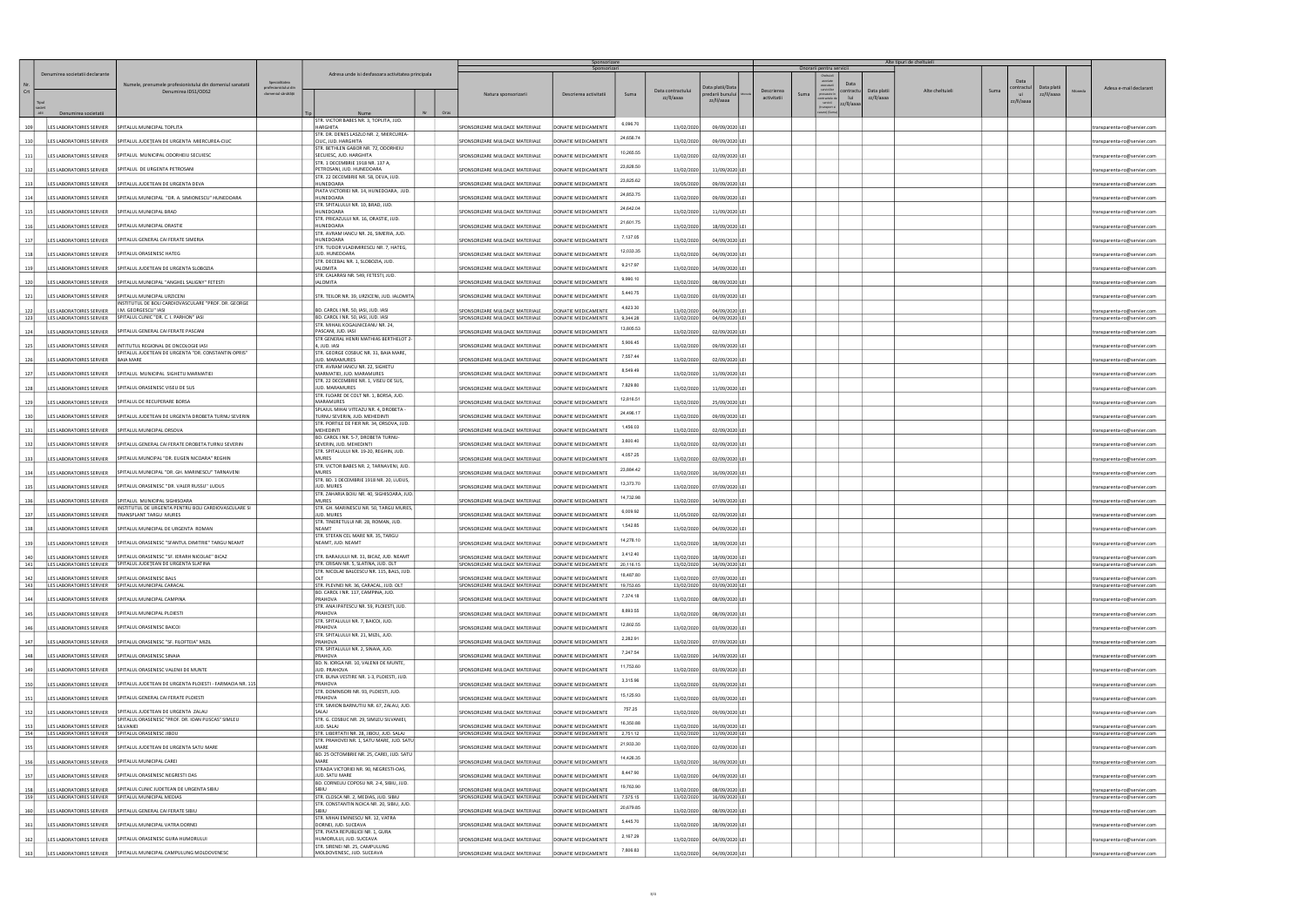|            |                                   |                                                                                       |                                                             |                                                                              |            | Sponsorizare<br>Sponsorizar                                        |                                            |           |                          | Onorarii pentru servicii           |                                            | Alte tipuri de cheltuieli       |                 |                                 |                          |                                                            |
|------------|-----------------------------------|---------------------------------------------------------------------------------------|-------------------------------------------------------------|------------------------------------------------------------------------------|------------|--------------------------------------------------------------------|--------------------------------------------|-----------|--------------------------|------------------------------------|--------------------------------------------|---------------------------------|-----------------|---------------------------------|--------------------------|------------------------------------------------------------|
| Crt        | Denumirea societatii declarante   | Numele, prenumele profesionistului din domeniul sanatatii<br>Denumirea IDS1/ODS2      | Specialitatea<br>profesionistului din<br>domeniul sănătătii | Adresa unde isi desfasoara activitatea principala                            |            | Natura sponsorizarii                                               | Descrierea activitatii                     | Suma      | Data contractulu         | Data platii/Dat<br>oredarii bunulu | executa<br>serviciil<br>Descrierea<br>Suma | Data<br>ontractu<br>Data platii | Alte cheltuieli | Data<br>contractu<br>Suma<br>ui | Data plati<br>zz/II/aaaa | Adesa e-mail declarant                                     |
|            |                                   |                                                                                       |                                                             |                                                                              |            |                                                                    |                                            |           | zz/II/aaaa               | zz/II/aaaa                         | activitatii<br>ontractele d<br>servicii    | lui<br>zz/II/aaaa<br>z/II/aaaa  |                 | zz/II/aaaa                      |                          |                                                            |
|            | Denumirea societatii              |                                                                                       |                                                             | Nume<br>STR. VICTOR BABES NR. 3, TOPLITA, JUD.                               | Nr<br>Oras |                                                                    |                                            |           |                          |                                    | rare) (Su                                  |                                 |                 |                                 |                          |                                                            |
| 109        |                                   | LES LABORATOIRES SERVIER SPITALUL MUNICIPAL TOPLITA                                   |                                                             | <b>HARGHITA</b><br>STR. DR. DENES LASZLO NR. 2, MIERCUREA-                   |            | SPONSORIZARE MIJLOACE MATERIALE                                    | DONATIE MEDICAMENTE                        | 6,096.70  | 13/02/2020               | 09/09/2020 LEI                     |                                            |                                 |                 |                                 |                          | transparenta-ro@servier.com                                |
| 110        | LES LABORATOIRES SERVIER          | SPITALUL JUDEȚEAN DE URGENTA MIERCUREA-CIUC                                           |                                                             | CIUC, JUD. HARGHITA<br>STR. BETHLEN GABOR NR. 72, ODORHEIU                   |            | SPONSORIZARE MIJLOACE MATERIALE                                    | DONATIE MEDICAMENTE                        | 24,656.74 | 13/02/2020               | 09/09/2020 LEI                     |                                            |                                 |                 |                                 |                          | transparenta-ro@servier.com                                |
| 111        | LES LABORATOIRES SERVIER          | SPITALUL MUNICIPAL ODORHEIU SECUIESC                                                  |                                                             | SECUIESC, JUD. HARGHITA<br>STR. 1 DECEMBRIE 1918 NR. 137 A,                  |            | SPONSORIZARE MIJLOACE MATERIALE                                    | DONATIE MEDICAMENTE                        | 10,265.55 | 13/02/2020               | 02/09/2020 LEI                     |                                            |                                 |                 |                                 |                          | :ransparenta-ro@servier.com                                |
| 112        |                                   | LES LABORATOIRES SERVIER SPITALUL DE URGENTA PETROSANI                                |                                                             | PETROSANI, JUD. HUNEDOARA<br>STR. 22 DECEMBRIE NR. 58, DEVA, JUD.            |            | SPONSORIZARE MIJLOACE MATERIALE                                    | DONATIF MEDICAMENTE                        | 23,828.50 | 13/02/2020               | 11/09/2020 LE                      |                                            |                                 |                 |                                 |                          | ansparenta-ro@servier.com                                  |
| 113        |                                   | LES LABORATOIRES SERVIER SPITALUL JUDETEAN DE URGENTA DEVA                            |                                                             | <b>HUNEDOARA</b><br>PIATA VICTORIEI NR. 14, HUNEDOARA, JUD.                  |            | SPONSORIZARE MIJLOACE MATERIALE                                    | DONATIE MEDICAMENTE                        | 23,825.62 | 19/05/2020               | 09/09/2020 LEI                     |                                            |                                 |                 |                                 |                          | transparenta-ro@servier.com                                |
| <b>114</b> |                                   | LES LABORATOIRES SERVIER   SPITALUL MUNICIPAL "DR. A. SIMIONESCU" HUNEDOARA           |                                                             | HUNEDOARA                                                                    |            | SPONSORIZARE MIJLOACE MATERIALE                                    | DONATIE MEDICAMENTE                        | 24,853.75 | 13/02/2020               | 09/09/2020 LEI                     |                                            |                                 |                 |                                 |                          | transparenta-ro@servier.com                                |
| 115        | LES LABORATOIRES SERVIER          | SPITALUL MUNICIPAL BRAD                                                               |                                                             | STR. SPITALULUI NR. 10, BRAD, JUD.<br><b>HUNEDOARA</b>                       |            | SPONSORIZARE MIJLOACE MATERIALE                                    | DONATIE MEDICAMENTE                        | 24,642.04 | 13/02/2020               | 11/09/2020 LE                      |                                            |                                 |                 |                                 |                          | ansparenta-ro@servier.com                                  |
| 116        |                                   | LES LABORATOIRES SERVIER   SPITALUL MUNICIPAL ORASTIE                                 |                                                             | STR. PRICAZULUI NR. 16, ORASTIE, JUD.<br>HUNEDOARA                           |            | SPONSORIZARE MIJLOACE MATERIALE                                    | DONATIE MEDICAMENTE                        | 21,601.75 | 13/02/2020               | 18/09/2020 LEI                     |                                            |                                 |                 |                                 |                          | transparenta-ro@servier.com                                |
| 117        | LES LABORATOIRES SERVIER          | SPITALUL GENERAL CAI FERATE SIMERIA                                                   |                                                             | STR. AVRAM IANCU NR. 26, SIMERIA, JUD.<br>HUNEDOARA                          |            | SPONSORIZARE MIJLOACE MATERIALE                                    | DONATIE MEDICAMENTE                        | 7,137.05  | 13/02/2020               | 04/09/2020 LEI                     |                                            |                                 |                 |                                 |                          | transparenta-ro@servier.com                                |
| 118        | LES LABORATOIRES SERVIER          | SPITALUL ORASENESC HATEG                                                              |                                                             | STR. TUDOR VLADIMIRESCU NR. 7, HATEG,<br>JUD. HUNEDOARA                      |            | SPONSORIZARE MIJLOACE MATERIALE                                    | DONATIE MEDICAMENTE                        | 12,033.35 | 13/02/2020               | 04/09/2020 LEI                     |                                            |                                 |                 |                                 |                          | :ransparenta-ro@servier.com                                |
| 119        |                                   | LES LABORATOIRES SERVIER   SPITALUL JUDETEAN DE URGENTA SLOBOZIA                      |                                                             | STR. DECEBAL NR. 1, SLOBOZIA, JUD.<br><b>IALOMITA</b>                        |            | SPONSORIZARE MIJLOACE MATERIALE                                    | DONATIE MEDICAMENTE                        | 9,217.97  | 13/02/2020               | 14/09/2020 LE                      |                                            |                                 |                 |                                 |                          | ransparenta-ro@servier.com                                 |
| 120        |                                   | LES LABORATOIRES SERVIER   SPITALUL MUNICIPAL "ANGHEL SALIGNY" FETESTI                |                                                             | STR. CALARASI NR. 549, FETESTI, JUD.<br><b>IALOMITA</b>                      |            | SPONSORIZARE MIJLOACE MATERIALE                                    | DONATIE MEDICAMENTE                        | 9,990.10  | 13/02/2020               | 08/09/2020 LEI                     |                                            |                                 |                 |                                 |                          | transparenta-ro@servier.com                                |
| 121        |                                   | LES LABORATOIRES SERVIER SPITALUL MUNICIPAL URZICENI                                  |                                                             | STR. TEILOR NR. 39, URZICENI, JUD. IALOMITA                                  |            | SPONSORIZARE MIJLOACE MATERIALE                                    | DONATIE MEDICAMENTE                        | 5,440.75  | 13/02/2020               | 03/09/2020 LEI                     |                                            |                                 |                 |                                 |                          | transparenta-ro@servier.com                                |
| 122        | LES LABORATOIRES SERVIER          | INSTITUTUL DE BOLI CARDIOVASCULARE "PROF. DR. GEORGE<br>I.M. GEORGESCU" IASI          |                                                             | BD. CAROL I NR. 50, IASI, JUD. IASI                                          |            |                                                                    | DONATIF MEDICAMENTE                        | 4,623.30  | 13/02/2020               | 04/09/2020 LEI                     |                                            |                                 |                 |                                 |                          |                                                            |
| 123        |                                   | LES LABORATOIRES SERVIER SPITALUL CLINIC "DR. C. I. PARHON" IASI                      |                                                             | BD. CAROL I NR. 50, IASI, JUD. IASI                                          |            | SPONSORIZARE MIJLOACE MATERIALE<br>SPONSORIZARE MIJLOACE MATERIALE | DONATIE MEDICAMENTE                        | 9.344.28  | 13/02/2020               | 04/09/2020 LEI                     |                                            |                                 |                 |                                 |                          | :ransparenta-ro@servier.com<br>transparenta-ro@servier.com |
| 124        | LES LABORATOIRES SERVIER          | SPITALUL GENERAL CAI FERATE PASCANI                                                   |                                                             | STR. MIHAIL KOGALNICEANU NR. 24,<br>PASCANI, JUD, IASI                       |            | SPONSORIZARE MIJLOACE MATERIALE                                    | DONATIE MEDICAMENTE                        | 13,805.53 | 13/02/2020               | 02/09/2020 LEI                     |                                            |                                 |                 |                                 |                          | ransparenta-ro@servier.com                                 |
| 125        |                                   | LES LABORATOIRES SERVIER   INTITUTUL REGIONAL DE ONCOLOGIE IASI                       |                                                             | STR GENERAL HENRI MATHIAS BERTHELOT 2-<br>4, JUD. IASI                       |            | SPONSORIZARE MIJLOACE MATERIALE                                    | DONATIE MEDICAMENTE                        | 5,906.45  | 13/02/2020               | 09/09/2020 LEI                     |                                            |                                 |                 |                                 |                          | transparenta-ro@servier.com                                |
| 126        | LES LABORATOIRES SERVIER          | SPITALUL JUDETEAN DE URGENTA "DR. CONSTANTIN OPRIS"<br><b>BAIA MARE</b>               |                                                             | STR. GEORGE COSBUC NR. 31, BAIA MARE,<br>JUD. MARAMURES                      |            | SPONSORIZARE MIJLOACE MATERIALE                                    | DONATIE MEDICAMENTE                        | 7,557.44  | 13/02/2020               | 02/09/2020 LEI                     |                                            |                                 |                 |                                 |                          | ransparenta-ro@servier.com                                 |
| 127        |                                   | LES LABORATOIRES SERVIER SPITALUL MUNICIPAL SIGHETU MARMATIEI                         |                                                             | STR. AVRAM IANCU NR. 22, SIGHETU<br>MARMATIEI, JUD. MARAMURES                |            | SPONSORIZARE MIJLOACE MATERIALE                                    | DONATIE MEDICAMENTE                        | 8,549.49  | 13/02/2020               | 11/09/2020 LEI                     |                                            |                                 |                 |                                 |                          |                                                            |
|            |                                   |                                                                                       |                                                             | STR. 22 DECEMBRIE NR. 1, VISEU DE SUS,                                       |            |                                                                    |                                            | 7,829.80  |                          |                                    |                                            |                                 |                 |                                 |                          | transparenta-ro@servier.com                                |
| 128        |                                   | LES LABORATOIRES SERVIER   SPITALUL ORASENESC VISEU DE SUS                            |                                                             | JUD. MARAMURES<br>STR. FLOARE DE COLT NR. 1, BORSA, JUD.                     |            | SPONSORIZARE MIJLOACE MATERIALE                                    | DONATIE MEDICAMENTE                        | 12,816.51 | 13/02/2020               | 11/09/2020 LEI                     |                                            |                                 |                 |                                 |                          | ransparenta-ro@servier.com                                 |
| 129        | LES LABORATOIRES SERVIER          | SPITALUL DE RECUPERARE BORSA                                                          |                                                             | MARAMURES<br>SPLAIUL MIHAI VITEAZU NR. 4, DROBETA -                          |            | SPONSORIZARE MIJLOACE MATERIALE                                    | DONATIE MEDICAMENTE                        |           | 13/02/2020               | 25/09/2020 LEI                     |                                            |                                 |                 |                                 |                          | transparenta-ro@servier.com                                |
| 130        | LES LABORATOIRES SERVIER          | SPITALUL JUDETEAN DE URGENTA DROBETA TURNU SEVERIN                                    |                                                             | TURNU SEVERIN, JUD. MEHEDINTI<br>STR. PORTILE DE FIER NR. 34, ORSOVA, JUD.   |            | SPONSORIZARE MIJLOACE MATERIALE                                    | DONATIE MEDICAMENTE                        | 24,496.17 | 13/02/2020               | 09/09/2020 LEI                     |                                            |                                 |                 |                                 |                          | :ransparenta-ro@servier.com                                |
| 131        |                                   | LES LABORATOIRES SERVIER   SPITALUL MUNICIPAL ORSOVA                                  |                                                             | <b>MEHEDINTI</b><br>BD. CAROL I NR. 5-7, DROBETA TURNU-                      |            | SPONSORIZARE MIJLOACE MATERIALE                                    | DONATIE MEDICAMENTE                        | 1,456.03  | 13/02/2020               | 02/09/2020 LEI                     |                                            |                                 |                 |                                 |                          | ransparenta-ro@servier.com                                 |
| 132        |                                   | LES LABORATOIRES SERVIER   SPITALUL GENERAL CAI FERATE DROBETA TURNU SEVERIN          |                                                             | SEVERIN, JUD. MEHEDINTI<br>STR. SPITALULUI NR. 19-20, REGHIN, JUD.           |            | SPONSORIZARE MIJLOACE MATERIALE                                    | DONATIE MEDICAMENTE                        | 3,600.40  | 13/02/2020               | 02/09/2020 LEI                     |                                            |                                 |                 |                                 |                          | transparenta-ro@servier.com                                |
| 133        | LES LABORATOIRES SERVIER          | SPITALUL MUNCIPAL "DR. EUGEN NICOARA" REGHIN                                          |                                                             | <b>MURES</b>                                                                 |            | SPONSORIZARE MIJLOACE MATERIALE                                    | DONATIE MEDICAMENTE                        | 4,057.25  | 13/02/2020               | 02/09/2020 LEI                     |                                            |                                 |                 |                                 |                          | ransparenta-ro@servier.com                                 |
| 134        | LES LABORATOIRES SERVIER          | SPITALUL MUNICIPAL "DR. GH. MARINESCU" TARNAVENI                                      |                                                             | STR. VICTOR BABES NR. 2, TARNAVENI, JUD.<br><b>MURES</b>                     |            | SPONSORIZARE MIJLOACE MATERIALE                                    | DONATIE MEDICAMENTE                        | 23,884.42 | 13/02/2020               | 16/09/2020 LEI                     |                                            |                                 |                 |                                 |                          | :ransparenta-ro@servier.com                                |
| 135        |                                   | LES LABORATOIRES SERVIER   SPITALUL ORASENESC "DR. VALER RUSSU" LUDUS                 |                                                             | STR. BD. 1 DECEMBRIE 1918 NR. 20, LUDUS,<br>JUD. MURES                       |            | SPONSORIZARE MIJLOACE MATERIALE                                    | DONATIE MEDICAMENTE                        | 13,373.70 | 13/02/2020               | 07/09/2020 LEI                     |                                            |                                 |                 |                                 |                          | :ransparenta-ro@servier.com                                |
| 136        | LES LABORATOIRES SERVIER          | SPITALUL MUNICIPAL SIGHISOARA                                                         |                                                             | STR. ZAHARIA BOIU NR. 40, SIGHISOARA, JUD.<br><b>MURES</b>                   |            | SPONSORIZARE MIJLOACE MATERIALE                                    | DONATIE MEDICAMENTE                        | 14,732.98 | 13/02/2020               | 14/09/2020 LEI                     |                                            |                                 |                 |                                 |                          | transparenta-ro@servier.com                                |
| 137        | LES LABORATOIRES SERVIER          | INSTITUTUL DE URGENTA PENTRU BOLI CARDIOVASCULARE SI<br><b>TRANSPLANT TARGU MURES</b> |                                                             | STR. GH. MARINESCU NR. 50, TARGU MURES,<br>JUD. MURES                        |            | SPONSORIZARE MIJLOACE MATERIALE                                    | DONATIE MEDICAMENTE                        | 6,009.92  | 11/05/2020               | 02/09/2020 LEI                     |                                            |                                 |                 |                                 |                          | ransparenta-ro@servier.com                                 |
| 138        | LES LABORATOIRES SERVIER          | SPITALUL MUNICIPAL DE URGENTA ROMAN                                                   |                                                             | STR. TINERETULUI NR. 28, ROMAN, JUD.<br><b>NEAMT</b>                         |            | SPONSORIZARE MIJLOACE MATERIALE                                    | DONATIE MEDICAMENTE                        | 1,542.85  | 13/02/2020               | 04/09/2020 LEI                     |                                            |                                 |                 |                                 |                          | transparenta-ro@servier.com                                |
| 139        |                                   | LES LABORATOIRES SERVIER SPITALUL ORASENESC "SFANTUL DIMITRIE" TARGU NEAMT            |                                                             | STR. STEFAN CEL MARE NR. 35, TARGU<br>NEAMT, JUD. NEAMT                      |            | SPONSORIZARE MIJLOACE MATERIALE                                    | DONATIE MEDICAMENTE                        | 14,278.10 | 13/02/2020               | 18/09/2020 LEI                     |                                            |                                 |                 |                                 |                          | transparenta-ro@servier.com                                |
| 140        | LES LABORATOIRES SERVIER          | SPITALUL ORASENESC "SF. IERARH NICOLAE" BICAZ                                         |                                                             | STR. BARAJULUI NR. 31, BICAZ, JUD. NEAMT                                     |            |                                                                    |                                            | 3,412.40  |                          |                                    |                                            |                                 |                 |                                 |                          |                                                            |
| 141        |                                   | LES LABORATOIRES SERVIER SPITALUL JUDETEAN DE URGENTA SLATINA                         |                                                             | STR. CRISAN NR. 5, SLATINA, JUD. OLT                                         |            | SPONSORIZARE MIJLOACE MATERIALE<br>SPONSORIZARE MIJLOACE MATERIALE | DONATIE MEDICAMENTE<br>DONATIE MEDICAMENTE | 20,116.15 | 13/02/2020<br>13/02/2020 | 18/09/2020 LEI<br>14/09/2020 LEI   |                                            |                                 |                 |                                 |                          | transparenta-ro@servier.com<br>transparenta-ro@servier.com |
| 142        | LES LABORATOIRES SERVIER          | SPITALUL ORASENESC BALS                                                               |                                                             | STR. NICOLAE BALCESCU NR. 115, BALS, JUD.                                    |            | SPONSORIZARE MIJLOACE MATERIALE                                    | DONATIE MEDICAMENTE                        | 18,487.80 | 13/02/2020               | 07/09/2020 LEI                     |                                            |                                 |                 |                                 |                          | transparenta-ro@servier.com                                |
| 143        |                                   | LES LABORATOIRES SERVIER   SPITALUL MUNICIPAL CARACAL                                 |                                                             | STR. PLEVNEI NR. 36, CARACAL, JUD. OLT<br>BD. CAROL I NR. 117, CAMPINA, JUD. |            | SPONSORIZARE MIJLOACE MATERIALE                                    | DONATIE MEDICAMENTE                        | 19,753.65 | 13/02/2020               | 03/09/2020 LEI                     |                                            |                                 |                 |                                 |                          | transparenta-ro@servier.com                                |
| 144        | LES LABORATOIRES SERVIER          | SPITALUL MUNICIPAL CAMPINA                                                            |                                                             | PRAHOVA<br>STR. ANA IPATESCU NR. 59, PLOIESTI, JUD.                          |            | SPONSORIZARE MIJLOACE MATERIALE                                    | DONATIE MEDICAMENTE                        | 7,374.18  | 13/02/2020               | 08/09/2020 LEI                     |                                            |                                 |                 |                                 |                          | transparenta-ro@servier.com                                |
| 145        | LES LABORATOIRES SERVIER          | SPITALUL MUNICIPAL PLOIESTI                                                           |                                                             | PRAHOVA<br>STR. SPITALULUI NR. 7, BAICOI, JUD.                               |            | SPONSORIZARE MIJLOACE MATERIALE                                    | DONATIE MEDICAMENTE                        | 8,893.55  | 13/02/2020               | 08/09/2020 LEI                     |                                            |                                 |                 |                                 |                          | ransparenta-ro@servier.com                                 |
| 146        | LES LABORATOIRES SERVIER          | SPITALUL ORASENESC BAICOI                                                             |                                                             | PRAHOVA                                                                      |            | SPONSORIZARE MIJLOACE MATERIALE                                    | DONATIE MEDICAMENTE                        | 12,802.55 | 13/02/2020               | 03/09/2020 LEI                     |                                            |                                 |                 |                                 |                          | transparenta-ro@servier.com                                |
| 147        |                                   | LES LABORATOIRES SERVIER   SPITALUL ORASENESC "SF. FILOFTEIA" MIZIL                   |                                                             | STR. SPITALULUI NR. 21, MIZIL, JUD.<br>PRAHOVA                               |            | SPONSORIZARE MIJLOACE MATERIALE                                    | DONATIE MEDICAMENTE                        | 2,282.91  | 13/02/2020               | 07/09/2020 LEI                     |                                            |                                 |                 |                                 |                          | transparenta-ro@servier.com                                |
| 148        | LES LABORATOIRES SERVIER          | SPITALUL ORASENESC SINAIA                                                             |                                                             | STR. SPITALULUI NR. 2, SINAIA, JUD.<br>PRAHOVA                               |            | SPONSORIZARE MIJLOACE MATERIALE                                    | DONATIE MEDICAMENTE                        | 7,247.54  | 13/02/2020               | 14/09/2020 LEI                     |                                            |                                 |                 |                                 |                          | ransparenta-ro@servier.com                                 |
| 149        | LES LABORATOIRES SERVIER          | SPITALUL ORASENESC VALENII DE MUNTE                                                   |                                                             | BD. N. IORGA NR. 10, VALENII DE MUNTE,<br>JUD. PRAHOVA                       |            | SPONSORIZARE MIJLOACE MATERIALE                                    | DONATIE MEDICAMENTE                        | 11,753.60 | 13/02/2020               | 03/09/2020 LEI                     |                                            |                                 |                 |                                 |                          | :ransparenta-ro@servier.com                                |
| 150        |                                   | LES LABORATOIRES SERVIER SPITALUL JUDETEAN DE URGENTA PLOIESTI - FARMACIA NR. 115     |                                                             | STR. BUNA VESTIRE NR. 1-3, PLOIESTI, JUD.<br>PRAHOVA                         |            | SPONSORIZARE MIJLOACE MATERIALE                                    | DONATIE MEDICAMENTE                        | 3,315.96  | 13/02/2020               | 03/09/2020 LEI                     |                                            |                                 |                 |                                 |                          | transparenta-ro@servier.com                                |
| 151        |                                   | LES LABORATOIRES SERVIER SPITALUL GENERAL CAI FERATE PLOIESTI                         |                                                             | STR. DOMNISORI NR. 93, PLOIESTI, JUD.<br>PRAHOVA                             |            | SPONSORIZARE MIJLOACE MATERIALE                                    | DONATIE MEDICAMENTE                        | 15,125.93 | 13/02/2020               | 03/09/2020 LEI                     |                                            |                                 |                 |                                 |                          | transparenta-ro@servier.com                                |
| 152        | LES LABORATOIRES SERVIER          | SPITALUL JUDETEAN DE URGENTA ZALAU                                                    |                                                             | STR. SIMION BARNUTIU NR. 67, ZALAU, JUD.<br>SAI AI                           |            | SPONSORIZARE MIJLOACE MATERIALE                                    | DONATIE MEDICAMENTE                        | 757.25    | 13/02/2020               | 09/09/2020 LEI                     |                                            |                                 |                 |                                 |                          | ansparenta-ro@servier.com                                  |
| 153        | ES LABORATOIRES SERVIER SILVANIEI | SPITALUL ORASENESC "PROF. DR. IOAN PUSCAS" SIMLEU                                     |                                                             | STR. G. COSBUC NR. 29, SIMLEU SILVANIEI,<br>JUD. SALAJ                       |            | SPONSORIZARE MIJLOACE MATERIALE                                    | DONATIE MEDICAMENTE                        | 16,350.88 | 13/02/2020               | 16/09/2020 LEI                     |                                            |                                 |                 |                                 |                          | transparenta-ro@servier.com                                |
| 154        |                                   | LES LABORATOIRES SERVIER   SPITALUL ORASENESC JIBOU                                   |                                                             | STR. LIBERTATII NR. 28, JIBOU, JUD. SALAJ                                    |            | SPONSORIZARE MIJLOACE MATERIALE                                    | DONATIE MEDICAMENTE                        | 2,751.12  | 13/02/2020               | 11/09/2020 LEI                     |                                            |                                 |                 |                                 |                          | transparenta-ro@servier.com                                |
| 155        |                                   | LES LABORATOIRES SERVIER SPITALUL JUDETEAN DE URGENTA SATU MARE                       |                                                             | STR. PRAHOVEI NR. 1, SATU MARE, JUD. SATU<br>MARE                            |            | SPONSORIZARE MIJLOACE MATERIALE                                    | DONATIE MEDICAMENTE                        | 21,933.30 | 13/02/2020               | 02/09/2020 LEI                     |                                            |                                 |                 |                                 |                          | ransparenta-ro@servier.com                                 |
| 156        | LES LABORATOIRES SERVIER          | SPITALUL MUNICIPAL CAREI                                                              |                                                             | BD. 25 OCTOMBRIE NR. 25, CAREI, JUD. SATU<br>MARF                            |            | SPONSORIZARE MIJLOACE MATERIALE                                    | DONATIE MEDICAMENTE                        | 14,426.35 | 13/02/2020               | 16/09/2020 LEI                     |                                            |                                 |                 |                                 |                          | :ransparenta-ro@servier.com                                |
| 157        |                                   | LES LABORATOIRES SERVIER SPITALUL ORASENESC NEGRESTI OAS                              |                                                             | STRADA VICTORIEI NR. 90, NEGRESTI-OAS,<br>JUD. SATU MARE                     |            | SPONSORIZARE MIJLOACE MATERIALE                                    | DONATIE MEDICAMENTE                        | 8,447.90  | 13/02/2020               | 04/09/2020 LEI                     |                                            |                                 |                 |                                 |                          | transparenta-ro@servier.com                                |
| 158        | LES LABORATOIRES SERVIER          | SPITALUL CLINIC JUDETEAN DE URGENTA SIBIU                                             |                                                             | BD. CORNELIU COPOSU NR. 2-4, SIBIU, JUD.<br>SIBILI                           |            | SPONSORIZARE MIJLOACE MATERIALE                                    | DONATIE MEDICAMENTE                        | 19,763.90 | 13/02/2020               | 08/09/2020 LEI                     |                                            |                                 |                 |                                 |                          | ransparenta-ro@servier.com                                 |
| 159        |                                   | LES LABORATOIRES SERVIER SPITALUL MUNICIPAL MEDIAS                                    |                                                             | STR. CLOSCA NR. 2, MEDIAS, JUD. SIBIU                                        |            | SPONSORIZARE MIJLOACE MATERIALE                                    | DONATIE MEDICAMENTE                        | 7,575.15  | 13/02/2020               | 16/09/2020 LEI                     |                                            |                                 |                 |                                 |                          | transparenta-ro@servier.com                                |
| 160        | LES LABORATOIRES SERVIER          | SPITALUL GENERAL CAI FERATE SIBIU                                                     |                                                             | STR. CONSTANTIN NOICA NR. 20, SIBIU, JUD.<br>SIBILI                          |            | SPONSORIZARE MIJLOACE MATERIALE                                    | DONATIE MEDICAMENTE                        | 20,679.85 | 13/02/2020               | 08/09/2020 LEI                     |                                            |                                 |                 |                                 |                          | ransparenta-ro@servier.com                                 |
| 161        | LES LABORATOIRES SERVIER          | SPITALUL MUNICIPAL VATRA DORNEI                                                       |                                                             | STR. MIHAI EMINESCU NR. 12, VATRA<br>DORNEI, JUD. SUCEAVA                    |            | SPONSORIZARE MIJLOACE MATERIALE                                    | DONATIE MEDICAMENTE                        | 5,445.70  | 13/02/2020               | 18/09/2020 LEI                     |                                            |                                 |                 |                                 |                          | transparenta-ro@servier.com                                |
| 162        |                                   | LES LABORATOIRES SERVIER SPITALUL ORASENESC GURA HUMORULUI                            |                                                             | STR. PIATA REPUBLICII NR. 1, GURA<br>HUMORULUI, JUD. SUCEAVA                 |            | SPONSORIZARE MIJLOACE MATERIALE                                    | DONATIE MEDICAMENTE                        | 2,167.29  | 13/02/2020               | 04/09/2020 LEI                     |                                            |                                 |                 |                                 |                          | transparenta-ro@servier.com                                |
| 163        |                                   | LES LABORATOIRES SERVIER SPITALUL MUNICIPAL CAMPULUNG MOLDOVENESC                     |                                                             | STR. SIRENEI NR. 25, CAMPULUNG<br>MOLDOVENESC, JUD. SUCEAVA                  |            | SPONSORIZARE MIJLOACE MATERIALE                                    | DONATIE MEDICAMENTE                        | 7,806.83  | 13/02/2020               | 04/09/2020 LEI                     |                                            |                                 |                 |                                 |                          | transparenta-ro@servier.com                                |
|            |                                   |                                                                                       |                                                             |                                                                              |            |                                                                    |                                            |           |                          |                                    |                                            |                                 |                 |                                 |                          |                                                            |

3/4